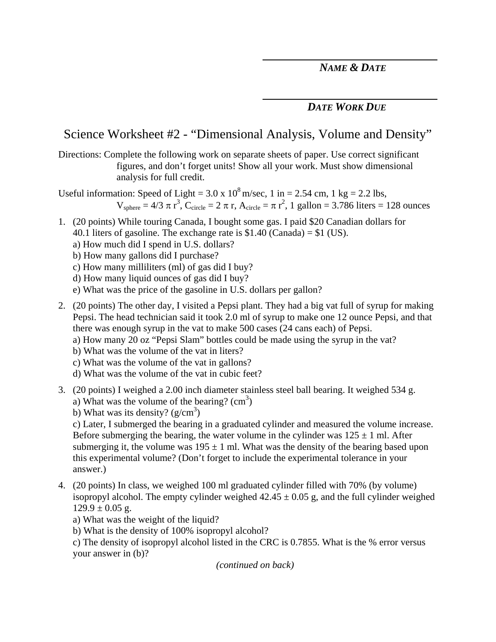## *DATE WORK DUE*

## Science Worksheet #2 - "Dimensional Analysis, Volume and Density"

Directions: Complete the following work on separate sheets of paper. Use correct significant figures, and don't forget units! Show all your work. Must show dimensional analysis for full credit.

Useful information: Speed of Light =  $3.0 \times 10^8$  m/sec, 1 in =  $2.54$  cm, 1 kg =  $2.2$  lbs,  $V_{sphere} = 4/3 \pi r^3$ ,  $C_{circle} = 2 \pi r$ ,  $A_{circle} = \pi r^2$ , 1 gallon = 3.786 liters = 128 ounces

- 1. (20 points) While touring Canada, I bought some gas. I paid \$20 Canadian dollars for 40.1 liters of gasoline. The exchange rate is \$1.40 (Canada) = \$1 (US).
	- a) How much did I spend in U.S. dollars?
	- b) How many gallons did I purchase?
	- c) How many milliliters (ml) of gas did I buy?
	- d) How many liquid ounces of gas did I buy?
	- e) What was the price of the gasoline in U.S. dollars per gallon?
- 2. (20 points) The other day, I visited a Pepsi plant. They had a big vat full of syrup for making Pepsi. The head technician said it took 2.0 ml of syrup to make one 12 ounce Pepsi, and that there was enough syrup in the vat to make 500 cases (24 cans each) of Pepsi.
	- a) How many 20 oz "Pepsi Slam" bottles could be made using the syrup in the vat?
	- b) What was the volume of the vat in liters?
	- c) What was the volume of the vat in gallons?
	- d) What was the volume of the vat in cubic feet?
- 3. (20 points) I weighed a 2.00 inch diameter stainless steel ball bearing. It weighed 534 g.
	- a) What was the volume of the bearing?  $(cm<sup>3</sup>)$
	- b) What was its density?  $(g/cm^3)$

c) Later, I submerged the bearing in a graduated cylinder and measured the volume increase. Before submerging the bearing, the water volume in the cylinder was  $125 \pm 1$  ml. After submerging it, the volume was  $195 \pm 1$  ml. What was the density of the bearing based upon this experimental volume? (Don't forget to include the experimental tolerance in your answer.)

- 4. (20 points) In class, we weighed 100 ml graduated cylinder filled with 70% (by volume) isopropyl alcohol. The empty cylinder weighed  $42.45 \pm 0.05$  g, and the full cylinder weighed  $129.9 \pm 0.05$  g.
	- a) What was the weight of the liquid?
	- b) What is the density of 100% isopropyl alcohol?

c) The density of isopropyl alcohol listed in the CRC is 0.7855. What is the % error versus your answer in (b)?

*(continued on back)*